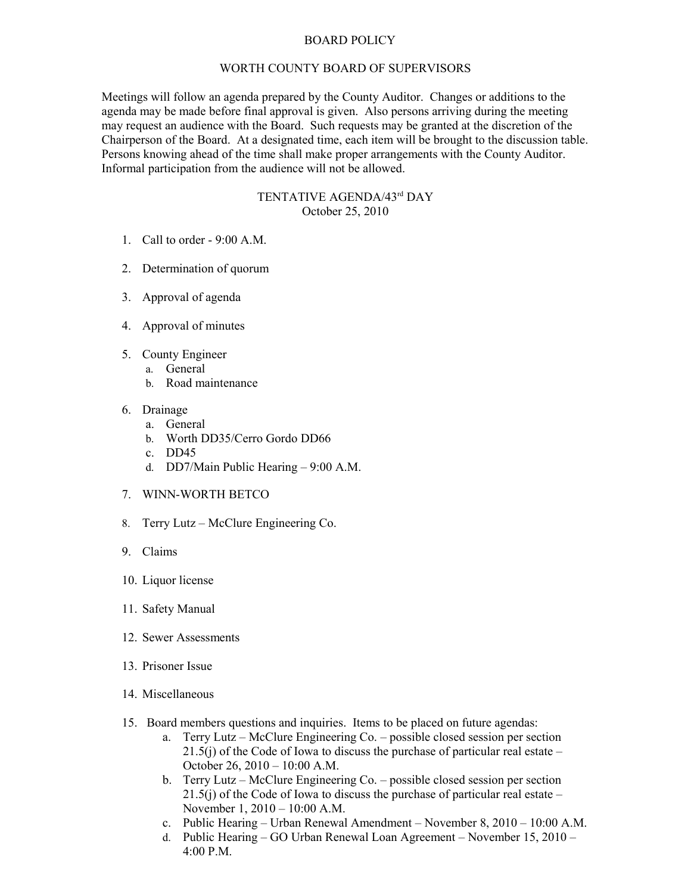## BOARD POLICY

## WORTH COUNTY BOARD OF SUPERVISORS

Meetings will follow an agenda prepared by the County Auditor. Changes or additions to the agenda may be made before final approval is given. Also persons arriving during the meeting may request an audience with the Board. Such requests may be granted at the discretion of the Chairperson of the Board. At a designated time, each item will be brought to the discussion table. Persons knowing ahead of the time shall make proper arrangements with the County Auditor. Informal participation from the audience will not be allowed.

## TENTATIVE AGENDA/43rd DAY October 25, 2010

- 1. Call to order 9:00 A.M.
- 2. Determination of quorum
- 3. Approval of agenda
- 4. Approval of minutes
- 5. County Engineer
	- a. General
		- b. Road maintenance
- 6. Drainage
	- a. General
	- b. Worth DD35/Cerro Gordo DD66
	- c. DD45
	- d. DD7/Main Public Hearing 9:00 A.M.
- 7. WINN-WORTH BETCO
- 8. Terry Lutz McClure Engineering Co.
- 9. Claims
- 10. Liquor license
- 11. Safety Manual
- 12. Sewer Assessments
- 13. Prisoner Issue
- 14. Miscellaneous
- 15. Board members questions and inquiries. Items to be placed on future agendas:
	- a. Terry Lutz McClure Engineering Co. possible closed session per section 21.5(j) of the Code of Iowa to discuss the purchase of particular real estate – October 26, 2010 – 10:00 A.M.
	- b. Terry Lutz McClure Engineering Co. possible closed session per section 21.5(j) of the Code of Iowa to discuss the purchase of particular real estate – November 1, 2010 – 10:00 A.M.
	- c. Public Hearing Urban Renewal Amendment November 8, 2010 10:00 A.M.
	- d. Public Hearing GO Urban Renewal Loan Agreement November 15, 2010 4:00 P.M.